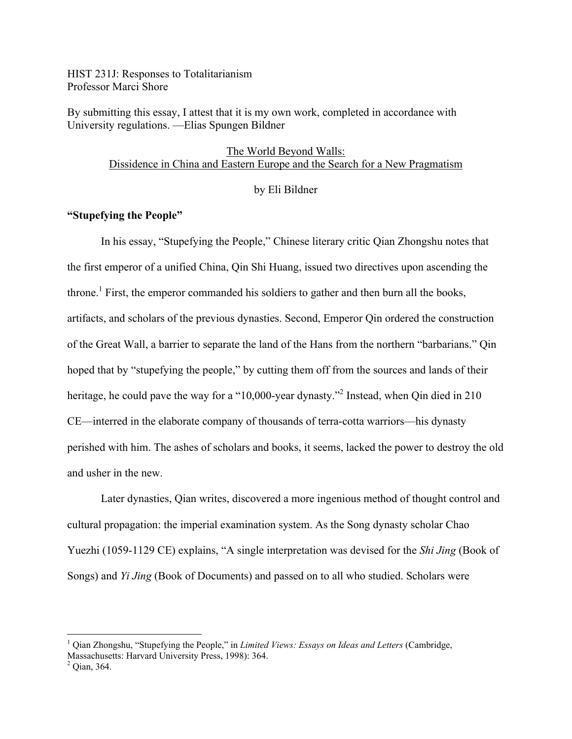HIST 231J: Responses to Totalitarianism Professor Marci Shore

By submitting this essay, I attest that it is my own work, completed in accordance with University regulations. —Elias Spungen Bildner

> The World Beyond Walls: Dissidence in China and Eastern Europe and the Search for a New Pragmatism

#### by Eli Bildner

## **"Stupefying the People"**

In his essay, "Stupefying the People," Chinese literary critic Qian Zhongshu notes that the first emperor of a unified China, Qin Shi Huang, issued two directives upon ascending the throne.<sup>1</sup> First, the emperor commanded his soldiers to gather and then burn all the books, artifacts, and scholars of the previous dynasties. Second, Emperor Qin ordered the construction of the Great Wall, a barrier to separate the land of the Hans from the northern "barbarians." Qin hoped that by "stupefying the people," by cutting them off from the sources and lands of their heritage, he could pave the way for a "10,000-year dynasty."<sup>2</sup> Instead, when Qin died in 210 CE—interred in the elaborate company of thousands of terra-cotta warriors—his dynasty perished with him. The ashes of scholars and books, it seems, lacked the power to destroy the old and usher in the new.

Later dynasties, Qian writes, discovered a more ingenious method of thought control and cultural propagation: the imperial examination system. As the Song dynasty scholar Chao Yuezhi (1059-1129 CE) explains, "A single interpretation was devised for the *Shi Jing* (Book of Songs) and *Yi Jing* (Book of Documents) and passed on to all who studied. Scholars were

 <sup>1</sup> Qian Zhongshu, "Stupefying the People," in *Limited Views: Essays on Ideas and Letters* (Cambridge, Massachusetts: Harvard University Press, 1998): 364.<br><sup>2</sup> Qian, 364.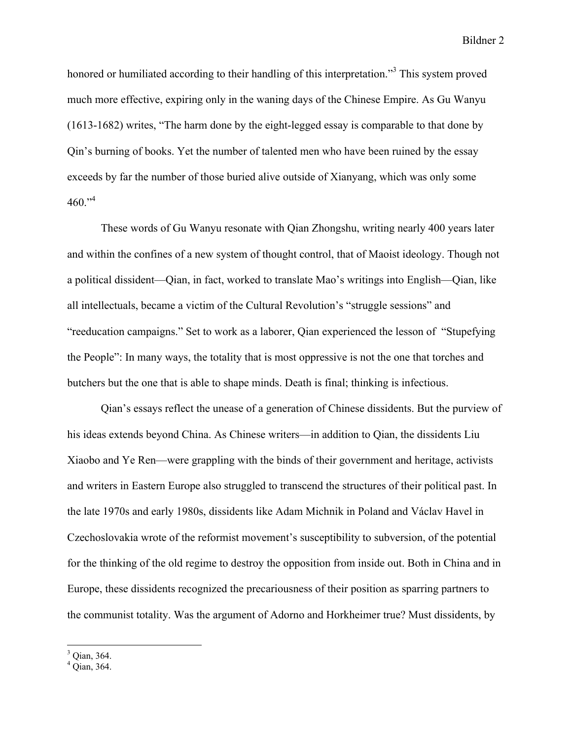honored or humiliated according to their handling of this interpretation."<sup>3</sup> This system proved much more effective, expiring only in the waning days of the Chinese Empire. As Gu Wanyu (1613-1682) writes, "The harm done by the eight-legged essay is comparable to that done by Qin's burning of books. Yet the number of talented men who have been ruined by the essay exceeds by far the number of those buried alive outside of Xianyang, which was only some  $460$ ."<sup>4</sup>

These words of Gu Wanyu resonate with Qian Zhongshu, writing nearly 400 years later and within the confines of a new system of thought control, that of Maoist ideology. Though not a political dissident—Qian, in fact, worked to translate Mao's writings into English—Qian, like all intellectuals, became a victim of the Cultural Revolution's "struggle sessions" and "reeducation campaigns." Set to work as a laborer, Qian experienced the lesson of "Stupefying the People": In many ways, the totality that is most oppressive is not the one that torches and butchers but the one that is able to shape minds. Death is final; thinking is infectious.

Qian's essays reflect the unease of a generation of Chinese dissidents. But the purview of his ideas extends beyond China. As Chinese writers—in addition to Qian, the dissidents Liu Xiaobo and Ye Ren—were grappling with the binds of their government and heritage, activists and writers in Eastern Europe also struggled to transcend the structures of their political past. In the late 1970s and early 1980s, dissidents like Adam Michnik in Poland and Václav Havel in Czechoslovakia wrote of the reformist movement's susceptibility to subversion, of the potential for the thinking of the old regime to destroy the opposition from inside out. Both in China and in Europe, these dissidents recognized the precariousness of their position as sparring partners to the communist totality. Was the argument of Adorno and Horkheimer true? Must dissidents, by

 $3^3$  Qian, 364.<br> $4^4$  Qian, 364.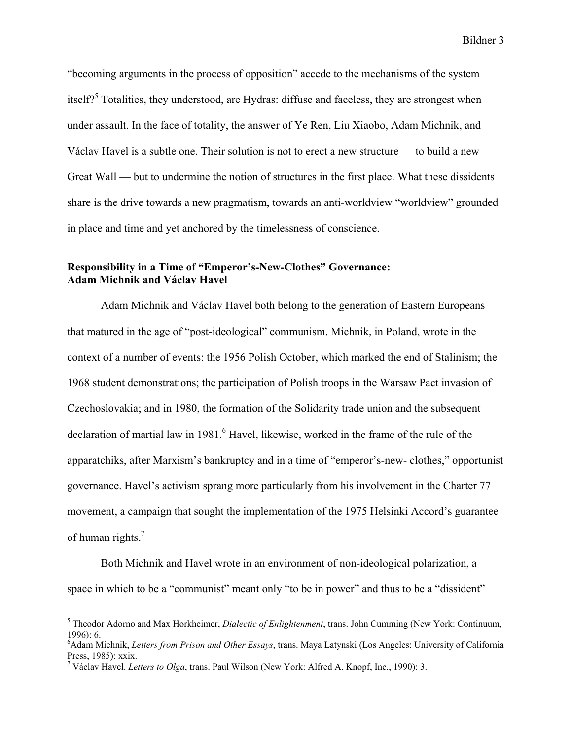"becoming arguments in the process of opposition" accede to the mechanisms of the system itself?<sup>5</sup> Totalities, they understood, are Hydras: diffuse and faceless, they are strongest when under assault. In the face of totality, the answer of Ye Ren, Liu Xiaobo, Adam Michnik, and Václav Havel is a subtle one. Their solution is not to erect a new structure — to build a new Great Wall — but to undermine the notion of structures in the first place. What these dissidents share is the drive towards a new pragmatism, towards an anti-worldview "worldview" grounded in place and time and yet anchored by the timelessness of conscience.

# **Responsibility in a Time of "Emperor's-New-Clothes" Governance: Adam Michnik and Václav Havel**

Adam Michnik and Václav Havel both belong to the generation of Eastern Europeans that matured in the age of "post-ideological" communism. Michnik, in Poland, wrote in the context of a number of events: the 1956 Polish October, which marked the end of Stalinism; the 1968 student demonstrations; the participation of Polish troops in the Warsaw Pact invasion of Czechoslovakia; and in 1980, the formation of the Solidarity trade union and the subsequent declaration of martial law in 1981.<sup>6</sup> Havel, likewise, worked in the frame of the rule of the apparatchiks, after Marxism's bankruptcy and in a time of "emperor's-new- clothes," opportunist governance. Havel's activism sprang more particularly from his involvement in the Charter 77 movement, a campaign that sought the implementation of the 1975 Helsinki Accord's guarantee of human rights.<sup>7</sup>

Both Michnik and Havel wrote in an environment of non-ideological polarization, a space in which to be a "communist" meant only "to be in power" and thus to be a "dissident"

 <sup>5</sup> Theodor Adorno and Max Horkheimer, *Dialectic of Enlightenment*, trans. John Cumming (New York: Continuum,  $1996$ : 6.

Adam Michnik, *Letters from Prison and Other Essays*, trans. Maya Latynski (Los Angeles: University of California Press, 1985): xxix.<br><sup>7</sup> Václav Havel. *Letters to Olga*, trans. Paul Wilson (New York: Alfred A. Knopf, Inc., 1990): 3.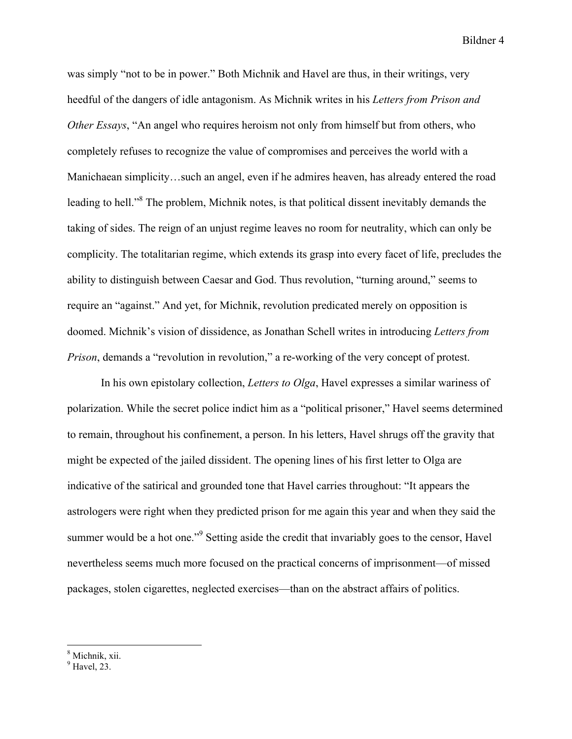was simply "not to be in power." Both Michnik and Havel are thus, in their writings, very heedful of the dangers of idle antagonism. As Michnik writes in his *Letters from Prison and Other Essays*, "An angel who requires heroism not only from himself but from others, who completely refuses to recognize the value of compromises and perceives the world with a Manichaean simplicity…such an angel, even if he admires heaven, has already entered the road leading to hell."<sup>8</sup> The problem, Michnik notes, is that political dissent inevitably demands the taking of sides. The reign of an unjust regime leaves no room for neutrality, which can only be complicity. The totalitarian regime, which extends its grasp into every facet of life, precludes the ability to distinguish between Caesar and God. Thus revolution, "turning around," seems to require an "against." And yet, for Michnik, revolution predicated merely on opposition is doomed. Michnik's vision of dissidence, as Jonathan Schell writes in introducing *Letters from Prison*, demands a "revolution in revolution," a re-working of the very concept of protest.

In his own epistolary collection, *Letters to Olga*, Havel expresses a similar wariness of polarization. While the secret police indict him as a "political prisoner," Havel seems determined to remain, throughout his confinement, a person. In his letters, Havel shrugs off the gravity that might be expected of the jailed dissident. The opening lines of his first letter to Olga are indicative of the satirical and grounded tone that Havel carries throughout: "It appears the astrologers were right when they predicted prison for me again this year and when they said the summer would be a hot one."<sup>9</sup> Setting aside the credit that invariably goes to the censor, Havel nevertheless seems much more focused on the practical concerns of imprisonment—of missed packages, stolen cigarettes, neglected exercises—than on the abstract affairs of politics.

 $\frac{8}{9}$  Michnik, xii.<br> $\frac{9}{9}$  Havel, 23.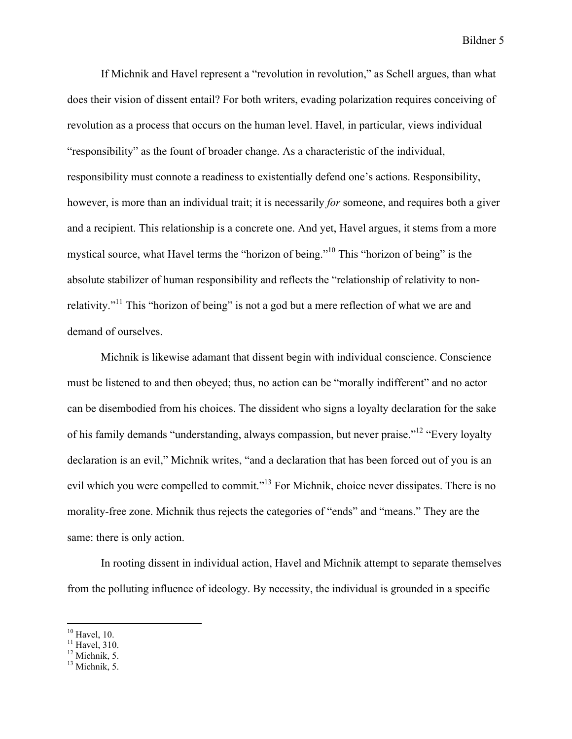If Michnik and Havel represent a "revolution in revolution," as Schell argues, than what does their vision of dissent entail? For both writers, evading polarization requires conceiving of revolution as a process that occurs on the human level. Havel, in particular, views individual "responsibility" as the fount of broader change. As a characteristic of the individual, responsibility must connote a readiness to existentially defend one's actions. Responsibility, however, is more than an individual trait; it is necessarily *for* someone, and requires both a giver and a recipient. This relationship is a concrete one. And yet, Havel argues, it stems from a more mystical source, what Havel terms the "horizon of being."10 This "horizon of being" is the absolute stabilizer of human responsibility and reflects the "relationship of relativity to nonrelativity."11 This "horizon of being" is not a god but a mere reflection of what we are and demand of ourselves.

Michnik is likewise adamant that dissent begin with individual conscience. Conscience must be listened to and then obeyed; thus, no action can be "morally indifferent" and no actor can be disembodied from his choices. The dissident who signs a loyalty declaration for the sake of his family demands "understanding, always compassion, but never praise."<sup>12</sup> "Every loyalty" declaration is an evil," Michnik writes, "and a declaration that has been forced out of you is an evil which you were compelled to commit."<sup>13</sup> For Michnik, choice never dissipates. There is no morality-free zone. Michnik thus rejects the categories of "ends" and "means." They are the same: there is only action.

In rooting dissent in individual action, Havel and Michnik attempt to separate themselves from the polluting influence of ideology. By necessity, the individual is grounded in a specific

<sup>&</sup>lt;sup>10</sup> Havel, 10.<br><sup>11</sup> Havel, 310.<br><sup>12</sup> Michnik, 5.<br><sup>13</sup> Michnik, 5.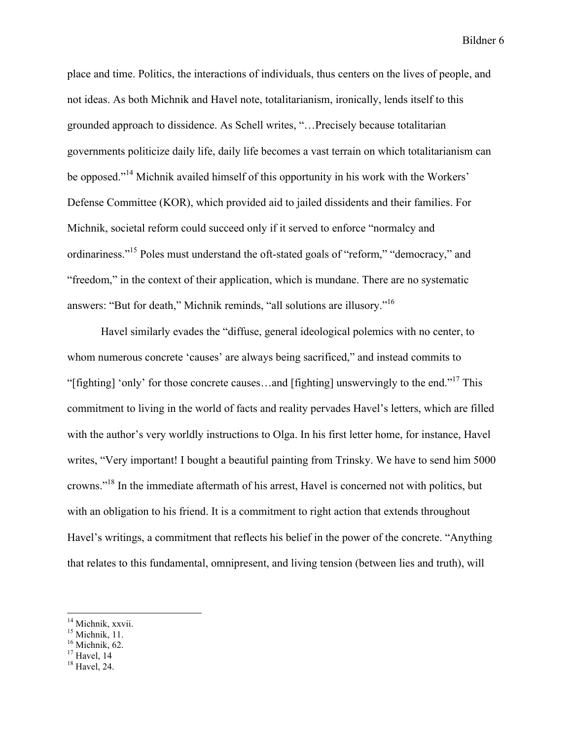place and time. Politics, the interactions of individuals, thus centers on the lives of people, and not ideas. As both Michnik and Havel note, totalitarianism, ironically, lends itself to this grounded approach to dissidence. As Schell writes, "…Precisely because totalitarian governments politicize daily life, daily life becomes a vast terrain on which totalitarianism can be opposed."<sup>14</sup> Michnik availed himself of this opportunity in his work with the Workers' Defense Committee (KOR), which provided aid to jailed dissidents and their families. For Michnik, societal reform could succeed only if it served to enforce "normalcy and ordinariness."15 Poles must understand the oft-stated goals of "reform," "democracy," and "freedom," in the context of their application, which is mundane. There are no systematic answers: "But for death," Michnik reminds, "all solutions are illusory."16

Havel similarly evades the "diffuse, general ideological polemics with no center, to whom numerous concrete 'causes' are always being sacrificed," and instead commits to "[fighting] 'only' for those concrete causes...and [fighting] unswervingly to the end."<sup>17</sup> This commitment to living in the world of facts and reality pervades Havel's letters, which are filled with the author's very worldly instructions to Olga. In his first letter home, for instance, Havel writes, "Very important! I bought a beautiful painting from Trinsky. We have to send him 5000 crowns."18 In the immediate aftermath of his arrest, Havel is concerned not with politics, but with an obligation to his friend. It is a commitment to right action that extends throughout Havel's writings, a commitment that reflects his belief in the power of the concrete. "Anything that relates to this fundamental, omnipresent, and living tension (between lies and truth), will

<sup>&</sup>lt;sup>14</sup> Michnik, xxvii.<br><sup>15</sup> Michnik, 11.<br><sup>16</sup> Michnik, 62.<br><sup>17</sup> Havel, 14<br><sup>18</sup> Havel, 24.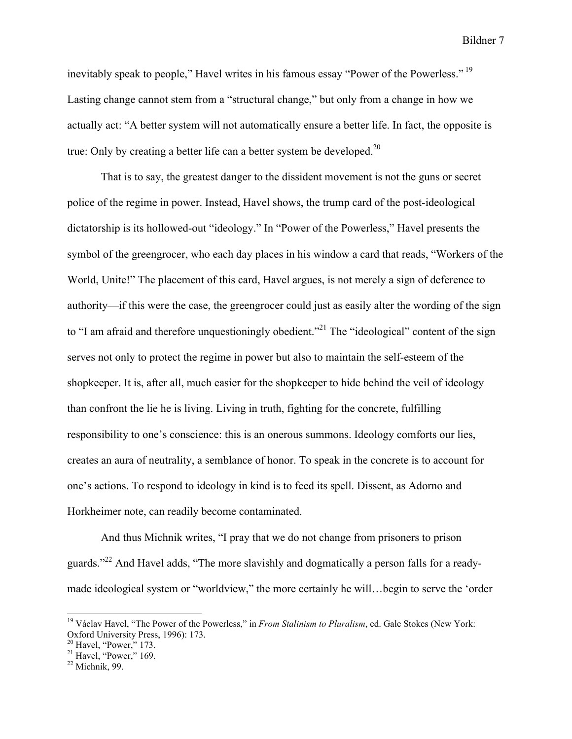inevitably speak to people," Havel writes in his famous essay "Power of the Powerless."<sup>19</sup> Lasting change cannot stem from a "structural change," but only from a change in how we actually act: "A better system will not automatically ensure a better life. In fact, the opposite is true: Only by creating a better life can a better system be developed.<sup>20</sup>

That is to say, the greatest danger to the dissident movement is not the guns or secret police of the regime in power. Instead, Havel shows, the trump card of the post-ideological dictatorship is its hollowed-out "ideology." In "Power of the Powerless," Havel presents the symbol of the greengrocer, who each day places in his window a card that reads, "Workers of the World, Unite!" The placement of this card, Havel argues, is not merely a sign of deference to authority—if this were the case, the greengrocer could just as easily alter the wording of the sign to "I am afraid and therefore unquestioningly obedient."<sup>21</sup> The "ideological" content of the sign serves not only to protect the regime in power but also to maintain the self-esteem of the shopkeeper. It is, after all, much easier for the shopkeeper to hide behind the veil of ideology than confront the lie he is living. Living in truth, fighting for the concrete, fulfilling responsibility to one's conscience: this is an onerous summons. Ideology comforts our lies, creates an aura of neutrality, a semblance of honor. To speak in the concrete is to account for one's actions. To respond to ideology in kind is to feed its spell. Dissent, as Adorno and Horkheimer note, can readily become contaminated.

And thus Michnik writes, "I pray that we do not change from prisoners to prison guards."22 And Havel adds, "The more slavishly and dogmatically a person falls for a readymade ideological system or "worldview," the more certainly he will…begin to serve the 'order

<sup>&</sup>lt;sup>19</sup> Václav Havel, "The Power of the Powerless," in *From Stalinism to Pluralism*, ed. Gale Stokes (New York: Oxford University Press, 1996): 173.

 $\frac{20}{10}$  Havel, "Power," 173.<br>
<sup>21</sup> Havel, "Power," 169.<br>
<sup>22</sup> Michnik, 99.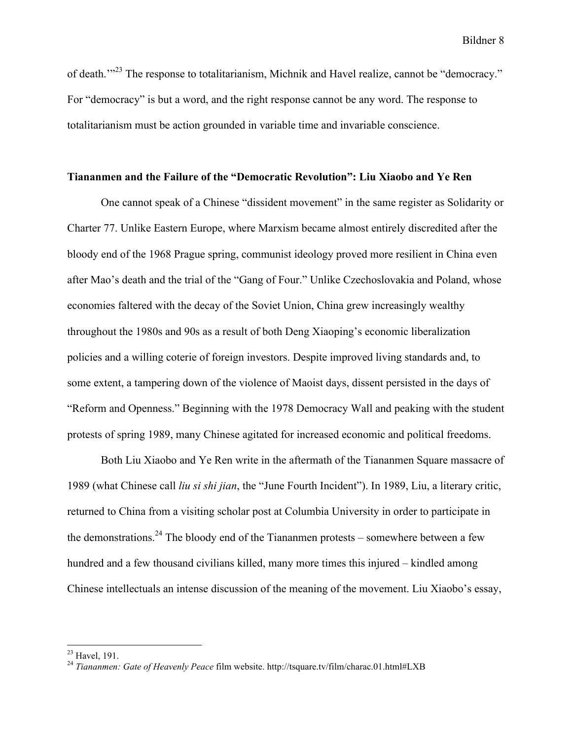of death.'"23 The response to totalitarianism, Michnik and Havel realize, cannot be "democracy." For "democracy" is but a word, and the right response cannot be any word. The response to totalitarianism must be action grounded in variable time and invariable conscience.

#### **Tiananmen and the Failure of the "Democratic Revolution": Liu Xiaobo and Ye Ren**

One cannot speak of a Chinese "dissident movement" in the same register as Solidarity or Charter 77. Unlike Eastern Europe, where Marxism became almost entirely discredited after the bloody end of the 1968 Prague spring, communist ideology proved more resilient in China even after Mao's death and the trial of the "Gang of Four." Unlike Czechoslovakia and Poland, whose economies faltered with the decay of the Soviet Union, China grew increasingly wealthy throughout the 1980s and 90s as a result of both Deng Xiaoping's economic liberalization policies and a willing coterie of foreign investors. Despite improved living standards and, to some extent, a tampering down of the violence of Maoist days, dissent persisted in the days of "Reform and Openness." Beginning with the 1978 Democracy Wall and peaking with the student protests of spring 1989, many Chinese agitated for increased economic and political freedoms.

Both Liu Xiaobo and Ye Ren write in the aftermath of the Tiananmen Square massacre of 1989 (what Chinese call *liu si shi jian*, the "June Fourth Incident"). In 1989, Liu, a literary critic, returned to China from a visiting scholar post at Columbia University in order to participate in the demonstrations.<sup>24</sup> The bloody end of the Tiananmen protests – somewhere between a few hundred and a few thousand civilians killed, many more times this injured – kindled among Chinese intellectuals an intense discussion of the meaning of the movement. Liu Xiaobo's essay,

<sup>23</sup> Havel, 191. <sup>24</sup> *Tiananmen: Gate of Heavenly Peace* film website. http://tsquare.tv/film/charac.01.html#LXB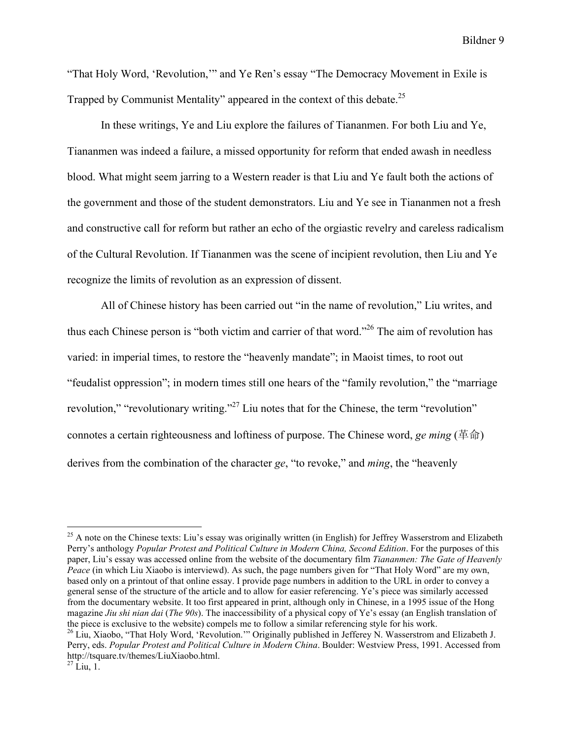"That Holy Word, 'Revolution,'" and Ye Ren's essay "The Democracy Movement in Exile is Trapped by Communist Mentality" appeared in the context of this debate.<sup>25</sup>

In these writings, Ye and Liu explore the failures of Tiananmen. For both Liu and Ye, Tiananmen was indeed a failure, a missed opportunity for reform that ended awash in needless blood. What might seem jarring to a Western reader is that Liu and Ye fault both the actions of the government and those of the student demonstrators. Liu and Ye see in Tiananmen not a fresh and constructive call for reform but rather an echo of the orgiastic revelry and careless radicalism of the Cultural Revolution. If Tiananmen was the scene of incipient revolution, then Liu and Ye recognize the limits of revolution as an expression of dissent.

All of Chinese history has been carried out "in the name of revolution," Liu writes, and thus each Chinese person is "both victim and carrier of that word."26 The aim of revolution has varied: in imperial times, to restore the "heavenly mandate"; in Maoist times, to root out "feudalist oppression"; in modern times still one hears of the "family revolution," the "marriage revolution," "revolutionary writing."<sup>27</sup> Liu notes that for the Chinese, the term "revolution" connotes a certain righteousness and loftiness of purpose. The Chinese word, *ge ming* (革命) derives from the combination of the character *ge*, "to revoke," and *ming*, the "heavenly

 $^{25}$  A note on the Chinese texts: Liu's essay was originally written (in English) for Jeffrey Wasserstrom and Elizabeth Perry's anthology *Popular Protest and Political Culture in Modern China, Second Edition*. For the purposes of this paper, Liu's essay was accessed online from the website of the documentary film *Tiananmen: The Gate of Heavenly Peace* (in which Liu Xiaobo is interviewd). As such, the page numbers given for "That Holy Word" are my own, based only on a printout of that online essay. I provide page numbers in addition to the URL in order to convey a general sense of the structure of the article and to allow for easier referencing. Ye's piece was similarly accessed from the documentary website. It too first appeared in print, although only in Chinese, in a 1995 issue of the Hong magazine *Jiu shi nian dai* (*The 90s*). The inaccessibility of a physical copy of Ye's essay (an English translation of the piece is exclusive to the website) compels me to follow <sup>a</sup> similar referencing style for his work. <sup>26</sup> Liu, Xiaobo, "That Holy Word, 'Revolution.'" Originally published in Jefferey N. Wasserstrom and Elizabeth J.

Perry, eds. *Popular Protest and Political Culture in Modern China*. Boulder: Westview Press, 1991. Accessed from http://tsquare.tv/themes/LiuXiaobo.html. <sup>27</sup> Liu, 1.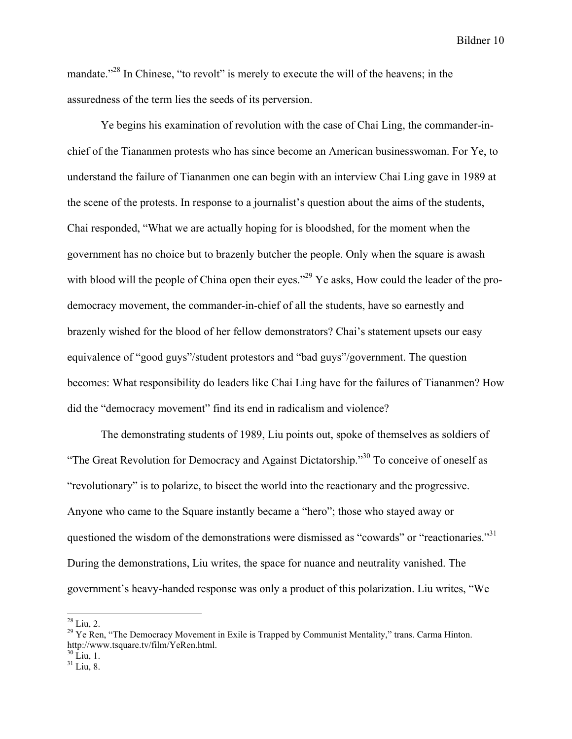mandate.<sup>228</sup> In Chinese, "to revolt" is merely to execute the will of the heavens; in the assuredness of the term lies the seeds of its perversion.

Ye begins his examination of revolution with the case of Chai Ling, the commander-inchief of the Tiananmen protests who has since become an American businesswoman. For Ye, to understand the failure of Tiananmen one can begin with an interview Chai Ling gave in 1989 at the scene of the protests. In response to a journalist's question about the aims of the students, Chai responded, "What we are actually hoping for is bloodshed, for the moment when the government has no choice but to brazenly butcher the people. Only when the square is awash with blood will the people of China open their eyes."<sup>29</sup> Ye asks, How could the leader of the prodemocracy movement, the commander-in-chief of all the students, have so earnestly and brazenly wished for the blood of her fellow demonstrators? Chai's statement upsets our easy equivalence of "good guys"/student protestors and "bad guys"/government. The question becomes: What responsibility do leaders like Chai Ling have for the failures of Tiananmen? How did the "democracy movement" find its end in radicalism and violence?

The demonstrating students of 1989, Liu points out, spoke of themselves as soldiers of "The Great Revolution for Democracy and Against Dictatorship."30 To conceive of oneself as "revolutionary" is to polarize, to bisect the world into the reactionary and the progressive. Anyone who came to the Square instantly became a "hero"; those who stayed away or questioned the wisdom of the demonstrations were dismissed as "cowards" or "reactionaries."<sup>31</sup> During the demonstrations, Liu writes, the space for nuance and neutrality vanished. The government's heavy-handed response was only a product of this polarization. Liu writes, "We

<sup>&</sup>lt;sup>28</sup> Liu, 2.<br><sup>29</sup> Ye Ren, "The Democracy Movement in Exile is Trapped by Communist Mentality," trans. Carma Hinton. http://www.tsquare.tv/film/YeRen.html.<br><sup>30</sup> Liu, 1.<br><sup>31</sup> Liu. 8.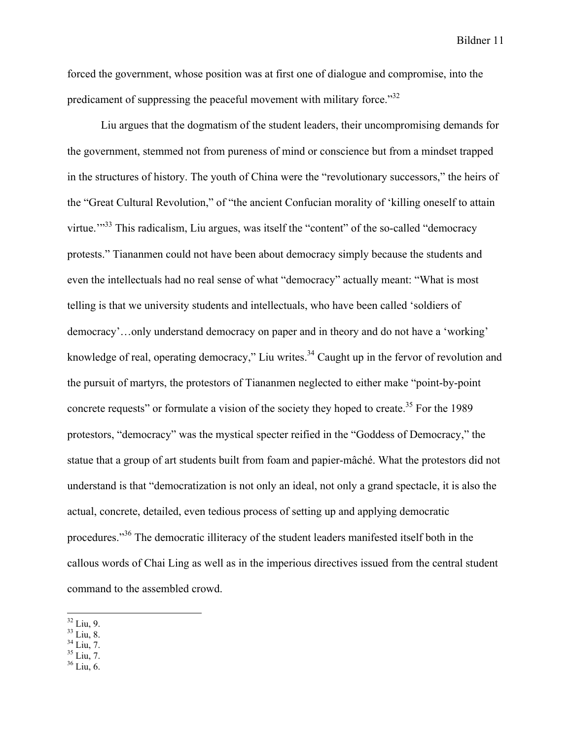forced the government, whose position was at first one of dialogue and compromise, into the predicament of suppressing the peaceful movement with military force.<sup>332</sup>

Liu argues that the dogmatism of the student leaders, their uncompromising demands for the government, stemmed not from pureness of mind or conscience but from a mindset trapped in the structures of history. The youth of China were the "revolutionary successors," the heirs of the "Great Cultural Revolution," of "the ancient Confucian morality of 'killing oneself to attain virtue."<sup>33</sup> This radicalism, Liu argues, was itself the "content" of the so-called "democracy" protests." Tiananmen could not have been about democracy simply because the students and even the intellectuals had no real sense of what "democracy" actually meant: "What is most telling is that we university students and intellectuals, who have been called 'soldiers of democracy'…only understand democracy on paper and in theory and do not have a 'working' knowledge of real, operating democracy," Liu writes.<sup>34</sup> Caught up in the fervor of revolution and the pursuit of martyrs, the protestors of Tiananmen neglected to either make "point-by-point concrete requests" or formulate a vision of the society they hoped to create.<sup>35</sup> For the 1989 protestors, "democracy" was the mystical specter reified in the "Goddess of Democracy," the statue that a group of art students built from foam and papier-mâché. What the protestors did not understand is that "democratization is not only an ideal, not only a grand spectacle, it is also the actual, concrete, detailed, even tedious process of setting up and applying democratic procedures."36 The democratic illiteracy of the student leaders manifested itself both in the callous words of Chai Ling as well as in the imperious directives issued from the central student command to the assembled crowd.

 $\frac{32 \text{ Liu}}{33 \text{ Liu}}$ , 8.<br>  $\frac{34 \text{ Liu}}{35 \text{ Liu}}$ , 7.<br>  $\frac{35 \text{ Liu}}{36 \text{ Liu}}$ , 6.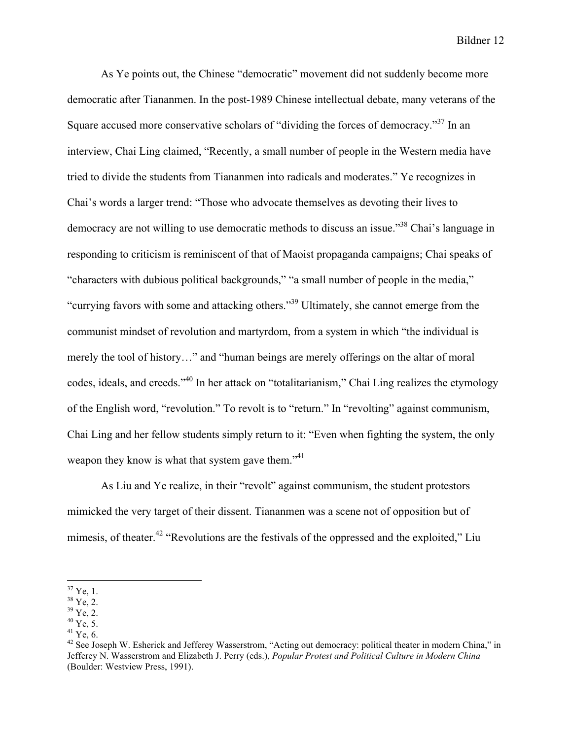As Ye points out, the Chinese "democratic" movement did not suddenly become more democratic after Tiananmen. In the post-1989 Chinese intellectual debate, many veterans of the Square accused more conservative scholars of "dividing the forces of democracy."<sup>37</sup> In an interview, Chai Ling claimed, "Recently, a small number of people in the Western media have tried to divide the students from Tiananmen into radicals and moderates." Ye recognizes in Chai's words a larger trend: "Those who advocate themselves as devoting their lives to democracy are not willing to use democratic methods to discuss an issue.<sup>38</sup> Chai's language in responding to criticism is reminiscent of that of Maoist propaganda campaigns; Chai speaks of "characters with dubious political backgrounds," "a small number of people in the media," "currying favors with some and attacking others."39 Ultimately, she cannot emerge from the communist mindset of revolution and martyrdom, from a system in which "the individual is merely the tool of history…" and "human beings are merely offerings on the altar of moral codes, ideals, and creeds."40 In her attack on "totalitarianism," Chai Ling realizes the etymology of the English word, "revolution." To revolt is to "return." In "revolting" against communism, Chai Ling and her fellow students simply return to it: "Even when fighting the system, the only weapon they know is what that system gave them."<sup>41</sup>

As Liu and Ye realize, in their "revolt" against communism, the student protestors mimicked the very target of their dissent. Tiananmen was a scene not of opposition but of mimesis, of theater.<sup>42</sup> "Revolutions are the festivals of the oppressed and the exploited," Liu

<sup>&</sup>lt;sup>37</sup> Ye, 1.<br><sup>38</sup> Ye, 2.<br><sup>40</sup> Ye, 5.<br><sup>41</sup> Ye, 6.<br><sup>42</sup> See Joseph W. Esherick and Jefferey Wasserstrom, "Acting out democracy: political theater in modern China," in Jefferey N. Wasserstrom and Elizabeth J. Perry (eds.), *Popular Protest and Political Culture in Modern China* (Boulder: Westview Press, 1991).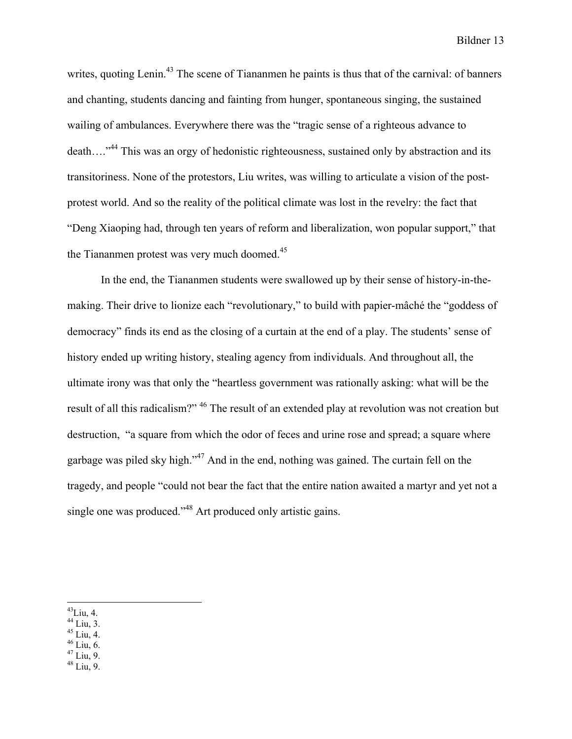writes, quoting Lenin.<sup>43</sup> The scene of Tiananmen he paints is thus that of the carnival: of banners and chanting, students dancing and fainting from hunger, spontaneous singing, the sustained wailing of ambulances. Everywhere there was the "tragic sense of a righteous advance to death…."44 This was an orgy of hedonistic righteousness, sustained only by abstraction and its transitoriness. None of the protestors, Liu writes, was willing to articulate a vision of the postprotest world. And so the reality of the political climate was lost in the revelry: the fact that "Deng Xiaoping had, through ten years of reform and liberalization, won popular support," that the Tiananmen protest was very much doomed.<sup>45</sup>

In the end, the Tiananmen students were swallowed up by their sense of history-in-themaking. Their drive to lionize each "revolutionary," to build with papier-mâché the "goddess of democracy" finds its end as the closing of a curtain at the end of a play. The students' sense of history ended up writing history, stealing agency from individuals. And throughout all, the ultimate irony was that only the "heartless government was rationally asking: what will be the result of all this radicalism?" <sup>46</sup> The result of an extended play at revolution was not creation but destruction, "a square from which the odor of feces and urine rose and spread; a square where garbage was piled sky high."47 And in the end, nothing was gained. The curtain fell on the tragedy, and people "could not bear the fact that the entire nation awaited a martyr and yet not a single one was produced.<sup>348</sup> Art produced only artistic gains.

- 
- 
- 
- 43 Liu, 4.<br>
44 Liu, 3.<br>
45 Liu, 4.<br>
46 Liu, 6.<br>
47 Liu, 9.<br>
48 Liu, 9.
-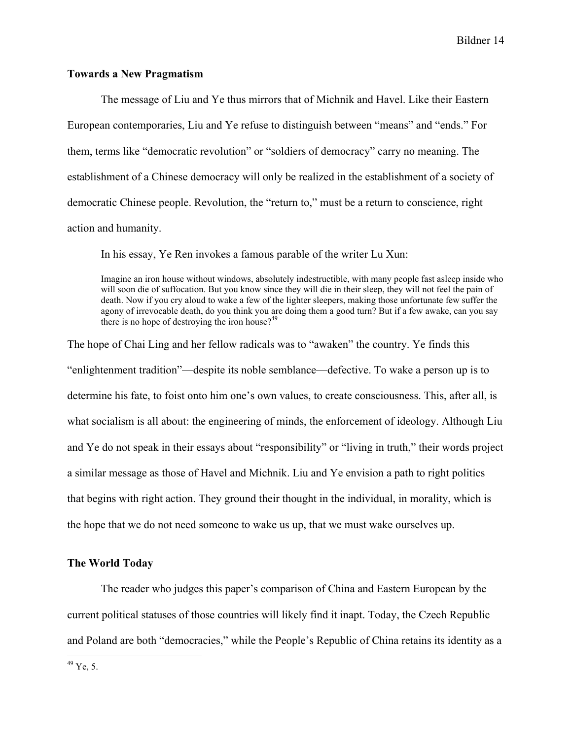## **Towards a New Pragmatism**

The message of Liu and Ye thus mirrors that of Michnik and Havel. Like their Eastern European contemporaries, Liu and Ye refuse to distinguish between "means" and "ends." For them, terms like "democratic revolution" or "soldiers of democracy" carry no meaning. The establishment of a Chinese democracy will only be realized in the establishment of a society of democratic Chinese people. Revolution, the "return to," must be a return to conscience, right action and humanity.

In his essay, Ye Ren invokes a famous parable of the writer Lu Xun:

Imagine an iron house without windows, absolutely indestructible, with many people fast asleep inside who will soon die of suffocation. But you know since they will die in their sleep, they will not feel the pain of death. Now if you cry aloud to wake a few of the lighter sleepers, making those unfortunate few suffer the agony of irrevocable death, do you think you are doing them a good turn? But if a few awake, can you say there is no hope of destroying the iron house?<sup>49</sup>

The hope of Chai Ling and her fellow radicals was to "awaken" the country. Ye finds this "enlightenment tradition"—despite its noble semblance—defective. To wake a person up is to determine his fate, to foist onto him one's own values, to create consciousness. This, after all, is what socialism is all about: the engineering of minds, the enforcement of ideology. Although Liu and Ye do not speak in their essays about "responsibility" or "living in truth," their words project a similar message as those of Havel and Michnik. Liu and Ye envision a path to right politics that begins with right action. They ground their thought in the individual, in morality, which is the hope that we do not need someone to wake us up, that we must wake ourselves up.

## **The World Today**

The reader who judges this paper's comparison of China and Eastern European by the current political statuses of those countries will likely find it inapt. Today, the Czech Republic and Poland are both "democracies," while the People's Republic of China retains its identity as a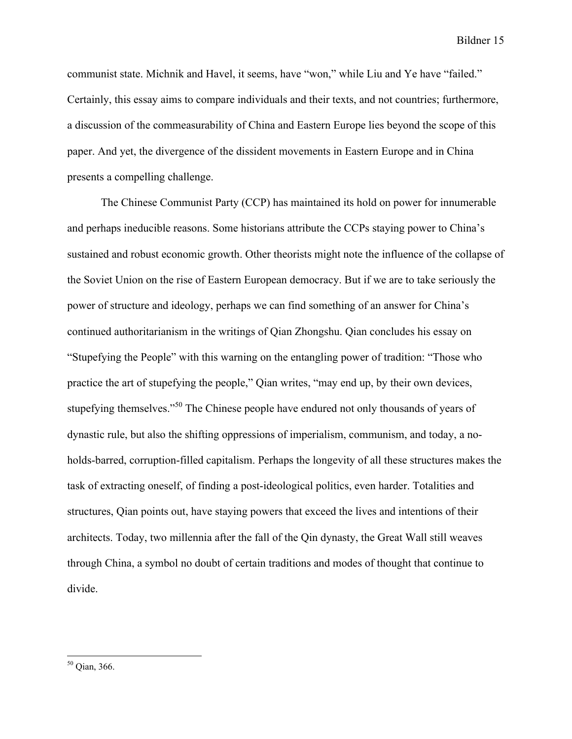communist state. Michnik and Havel, it seems, have "won," while Liu and Ye have "failed." Certainly, this essay aims to compare individuals and their texts, and not countries; furthermore, a discussion of the commeasurability of China and Eastern Europe lies beyond the scope of this paper. And yet, the divergence of the dissident movements in Eastern Europe and in China presents a compelling challenge.

The Chinese Communist Party (CCP) has maintained its hold on power for innumerable and perhaps ineducible reasons. Some historians attribute the CCPs staying power to China's sustained and robust economic growth. Other theorists might note the influence of the collapse of the Soviet Union on the rise of Eastern European democracy. But if we are to take seriously the power of structure and ideology, perhaps we can find something of an answer for China's continued authoritarianism in the writings of Qian Zhongshu. Qian concludes his essay on "Stupefying the People" with this warning on the entangling power of tradition: "Those who practice the art of stupefying the people," Qian writes, "may end up, by their own devices, stupefying themselves."<sup>50</sup> The Chinese people have endured not only thousands of years of dynastic rule, but also the shifting oppressions of imperialism, communism, and today, a noholds-barred, corruption-filled capitalism. Perhaps the longevity of all these structures makes the task of extracting oneself, of finding a post-ideological politics, even harder. Totalities and structures, Qian points out, have staying powers that exceed the lives and intentions of their architects. Today, two millennia after the fall of the Qin dynasty, the Great Wall still weaves through China, a symbol no doubt of certain traditions and modes of thought that continue to divide.

 <sup>50</sup> Qian, 366.